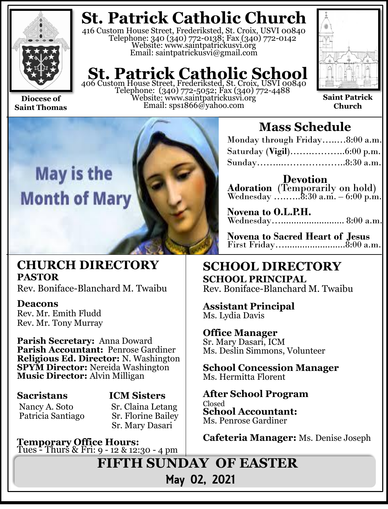

**Saint Thomas**

**St. Patrick Catholic Church**

416 Custom House Street, Frederiksted, St. Croix, USVI 00840 Telephone: 340 (340) 772-0138; Fax (340) 772-0142 Website: www.saintpatrickusvi.org Email: saintpatrickusvi@gmail.com

## **St. Patrick Catholic School** 406 Custom House Street, Frederiksted, St. Croix, USVI 00840

Telephone: (340) 772-5052; Fax (340) 772-4488 Website: www.saintpatrickusvi.org Email: sps1866@yahoo.com



**Saint Patrick Church**



## **CHURCH DIRECTORY PASTOR**

Rev. Boniface-Blanchard M. Twaibu

### **Deacons**

Rev. Mr. Emith Fludd Rev. Mr. Tony Murray

**Parish Secretary:** Anna Doward **Parish Accountant:** Penrose Gardiner **Religious Ed. Director:** N. Washington **SPYM Director:** Nereida Washington **Music Director:** Alvin Milligan

### **Sacristans ICM Sisters**

Nancy A. Soto Sr. Claina Letang Patricia Santiago Sr. Florine Bailey

# Sr. Mary Dasari

**Temporary Office Hours:**  Tues - Thurs & Fri: 9 - 12 & 12:30 - 4 pm

## **Mass Schedule**

| Monday through Friday8:00 a.m. |  |
|--------------------------------|--|
|                                |  |
| Sunday8:30 a.m.                |  |

**Devotion Adoration** (Temporarily on hold) Wednesday …....... $8:30$  a.m.  $-6:00$  p.m.

**Novena to O.L.P.H.** Wednesday…......................... 8:00 a.m.

**Novena to Sacred Heart of Jesus** First Friday…........................8:00 a.m.

## **SCHOOL DIRECTORY SCHOOL PRINCIPAL** Rev. Boniface-Blanchard M. Twaibu

**Assistant Principal** Ms. Lydia Davis

## **Office Manager**

Sr. Mary Dasari, ICM Ms. Deslin Simmons, Volunteer

**School Concession Manager** Ms. Hermitta Florent

**After School Program** Closed **School Accountant:**  Ms. Penrose Gardiner

**Cafeteria Manager:** Ms. Denise Joseph

**FIFTH SUNDAY OF EASTER**  May 02, 2021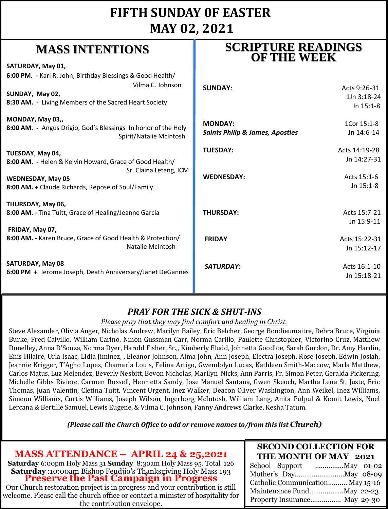## **FIFTH SUNDAY 0F EASTER MAY 02, 2021**

## **MASS INTENTIONS**

| where him had a holid                                                                                                                                              | <b>OF THE WEEK</b>                                           |                                          |
|--------------------------------------------------------------------------------------------------------------------------------------------------------------------|--------------------------------------------------------------|------------------------------------------|
| SATURDAY, May 01,                                                                                                                                                  |                                                              |                                          |
| 6:00 PM. - Karl R. John, Birthday Blessings & Good Health/<br>Vilma C. Johnson<br>SUNDAY, May 02,<br>8:30 AM. - Living Members of the Sacred Heart Society         | <b>SUNDAY:</b>                                               | Acts 9:26-31<br>1Jn 3:18-24<br>Jn 15:1-8 |
| MONDAY, May 03,,<br>8:00 AM. - Angus Drigio, God's Blessings In honor of the Holy<br>Spirit/Natalie McIntosh                                                       | <b>MONDAY:</b><br><b>Saints Philip &amp; James, Apostles</b> | 1Cor 15:1-8<br>Jn 14:6-14                |
| TUESDAY, May 04,                                                                                                                                                   | <b>TUESDAY:</b>                                              | Acts 14:19-28                            |
| 8:00 AM. - Helen & Kelvin Howard, Grace of Good Health/<br>Sr. Claina Letang, ICM<br><b>WEDNESDAY, May 05</b><br>8:00 AM. + Claude Richards, Repose of Soul/Family | <b>WEDNESDAY:</b>                                            | Jn 14:27-31<br>Acts 15:1-6<br>Jn 15:1-8  |
| THURSDAY, May 06,<br>8:00 AM. - Tina Tuitt, Grace of Healing/Jeanne Garcia<br>FRIDAY, May 07,                                                                      | <b>THURSDAY:</b>                                             | Acts 15:7-21<br>Jn 15:9-11               |
| 8:00 AM. - Karen Bruce, Grace of Good Health & Protection/<br>Natalie McIntosh                                                                                     | <b>FRIDAY</b>                                                | Acts 15:22-31<br>Jn 15:12-17             |
| <b>SATURDAY, May 08</b><br>6:00 PM + Jerome Joseph, Death Anniversary/Janet DeGannes                                                                               | <b>SATURDAY:</b>                                             | Acts 16:1-10<br>Jn 15:18-21              |

## *PRAY FOR THE SICK & SHUT-INS*

#### *Please pray that they may find comfort and healing in Christ.*

Steve Alexander, Olivia Anger, Nicholas Andrew, Marilyn Bailey, Eric Belcher, George Bondieumaitre, Debra Bruce, Virginia Burke, Fred Calvillo, William Carino, Ninon Gussman Carr, Norma Carillo, Paulette Christopher, Victorino Cruz, Matthew Donelley, Anna D'Souza, Norma Dyer, Harold Fisher, Sr.,, Kimberly Fludd, Johnetta Goodloe, Sarah Gordon, Dr. Amy Hardin, Enis Hilaire, Urla Isaac, Lidia Jiminez, , Eleanor Johnson, Alma John, Ann Joseph, Electra Joseph, Rose Joseph, Edwin Josiah, Jeannie Krigger, T'Agho Lopez, Chamarla Louis, Felina Artigo, Gwendolyn Lucas, Kathleen Smith-Maccow, Marla Matthew, Carlos Matus, Luz Melendez, Beverly Nesbitt, Bevon Nicholas, Marilyn Nicks, Ann Parris, Fr. Simon Peter, Geralda Pickering, Michelle Gibbs Riviere, Carmen Russell, Henrietta Sandy, Jose Manuel Santana, Gwen Skeoch, Martha Lena St. Juste, Eric Thomas, Juan Valentin, Cletina Tuitt, Vincent Urgent, Inez Walker, Deacon Oliver Washington, Ann Weikel, Inez Williams, Simeon Williams, Curtis Williams, Joseph Wilson, Ingerborg McIntosh, William Lang, Anita Pulpul & Kemit Lewis, Noel Lercana & Bertille Samuel, Lewis Eugene, & Vilma C. Johnson, Fanny Andrews Clarke. Kesha Tatum.

*(Please call the Church Office to add or remove names to/from this list Church)*

**MASS ATTENDANCE – APRIL 24 & 25,2021**

**Saturday** 6:00pm Holy Mass 31 **Sunday** 8:30am Holy Mass 95. Total 126 **Saturday** :10:00am Bishop Feudjio's Thanksgiving Holy Mass 193 **Preserve the Past Campaign in Progress**

Our Church restoration project is in progress and your contribution is still welcome. Please call the church office or contact a minister of hospitality for the contribution envelope.

#### **SECOND COLLECTION FOR THE MONTH OF MAY 2021**

**SCRIPTURE READINGS** 

| Catholic Communication May 15-16 |  |
|----------------------------------|--|
| Maintenance FundMay 22-23        |  |
| Property Insurance May 29-30     |  |
|                                  |  |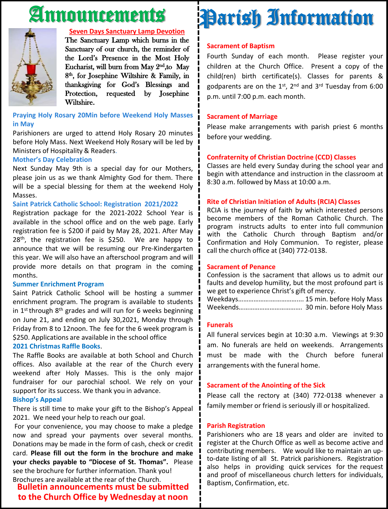## Announcements



#### **Seven Days Sanctuary Lamp Devotion**

The Sanctuary Lamp which burns in the Sanctuary of our church, the reminder of the Lord's Presence in the Most Holy Eucharist, will burn from May 2<sup>nd</sup>,to May 8<sup>th</sup>, for Josephine Wiltshire & Family, in thanksgiving for God's Blessings and Protection, requested by Josephine Wiltshire.

**Praying Holy Rosary 20Min before Weekend Holy Masses in May**

Parishioners are urged to attend Holy Rosary 20 minutes before Holy Mass. Next Weekend Holy Rosary will be led by Ministers of Hospitality & Readers.

#### **Mother's Day Celebration**

Next Sunday May 9th is a special day for our Mothers, please join us as we thank Almighty God for them. There will be a special blessing for them at the weekend Holy Masses.

#### **Saint Patrick Catholic School: Registration 2021/2022**

Registration package for the 2021-2022 School Year is available in the school office and on the web page. Early registration fee is \$200 if paid by May 28, 2021. After May 28<sup>th</sup>, the registration fee is \$250. We are happy to announce that we will be resuming our Pre-Kindergarten this year. We will also have an afterschool program and will provide more details on that program in the coming months.

#### **Summer Enrichment Program**

Saint Patrick Catholic School will be hosting a summer enrichment program. The program is available to students in 1<sup>st</sup> through 8<sup>th</sup> grades and will run for 6 weeks beginning on June 21, and ending on July 30,2021, Monday through Friday from 8 to 12noon. The fee for the 6 week program is \$250. Applications are available in the school office

#### **2021 Christmas Raffle Books**.

The Raffle Books are available at both School and Church offices. Also available at the rear of the Church every weekend after Holy Masses. This is the only major fundraiser for our parochial school. We rely on your support for its success. We thank you in advance.

#### **Bishop's Appeal**

There is still time to make your gift to the Bishop's Appeal 2021. We need your help to reach our goal.

For your convenience, you may choose to make a pledge now and spread your payments over several months. Donations may be made in the form of cash, check or credit card. **Please fill out the form in the brochure and make your checks payable to "Diocese of St. Thomas".** Please see the brochure for further information. Thank you! Brochures are available at the rear of the Church.

**Bulletin announcements must be submitted to the Church Office by Wednesday at noon**

## Parish Information

#### **Sacrament of Baptism**

Fourth Sunday of each month. Please register your children at the Church Office. Present a copy of the child(ren) birth certificate(s). Classes for parents & godparents are on the 1st, 2<sup>nd</sup> and 3<sup>rd</sup> Tuesday from 6:00 p.m. until 7:00 p.m. each month.

#### **Sacrament of Marriage**

Please make arrangements with parish priest 6 months before your wedding.

#### **Confraternity of Christian Doctrine (CCD) Classes**

Classes are held every Sunday during the school year and begin with attendance and instruction in the classroom at 8:30 a.m. followed by Mass at 10:00 a.m.

#### **Rite of Christian Initiation of Adults (RCIA) Classes**

RCIA is the journey of faith by which interested persons become members of the Roman Catholic Church. The program instructs adults to enter into full communion with the Catholic Church through Baptism and/or Confirmation and Holy Communion. To register, please call the church office at (340) 772-0138.

#### **Sacrament of Penance**

Confession is the sacrament that allows us to admit our faults and develop humility, but the most profound part is we get to experience Christ's gift of mercy.

Weekdays……………….…………….... 15 min. before Holy Mass Weekends………………………………. 30 min. before Holy Mass

#### **Funerals**

All funeral services begin at 10:30 a.m. Viewings at 9:30 am. No funerals are held on weekends. Arrangements must be made with the Church before funeral arrangements with the funeral home.

#### **Sacrament of the Anointing of the Sick**

Please call the rectory at (340) 772-0138 whenever a family member or friend is seriously ill or hospitalized.

#### **Parish Registration**

Parishioners who are 18 years and older are invited to register at the Church Office as well as become active and contributing members. We would like to maintain an upto-date listing of all St. Patrick parishioners. Registration also helps in providing quick services for the request and proof of miscellaneous church letters for individuals, Baptism, Confirmation, etc.